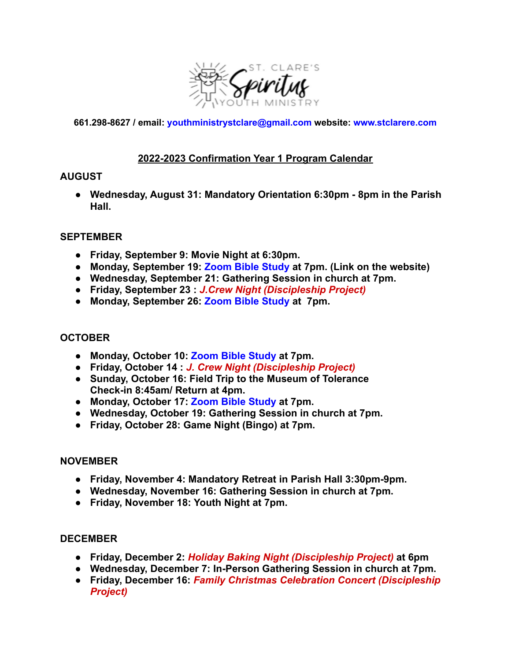

**661.298-8627 / email: [youthministrystclare@gmail.com](mailto:youthministrystclare@gmail.com) website: www.stclarere.com**

# **2022-2023 Confirmation Year 1 Program Calendar**

## **AUGUST**

**● Wednesday, August 31: Mandatory Orientation 6:30pm - 8pm in the Parish Hall.**

## **SEPTEMBER**

- **● Friday, September 9: Movie Night at 6:30pm.**
- **● Monday, September 19: Zoom Bible Study at 7pm. (Link on the website)**
- **● Wednesday, September 21: Gathering Session in church at 7pm.**
- **● Friday, September 23 :** *J.Crew Night (Discipleship Project)*
- **● Monday, September 26: Zoom Bible Study at 7pm.**

# **OCTOBER**

- **● Monday, October 10: Zoom Bible Study at 7pm.**
- **● Friday, October 14 :** *J. Crew Night (Discipleship Project)*
- **● Sunday, October 16: Field Trip to the Museum of Tolerance Check-in 8:45am/ Return at 4pm.**
- **● Monday, October 17: Zoom Bible Study at 7pm.**
- **● Wednesday, October 19: Gathering Session in church at 7pm.**
- **● Friday, October 28: Game Night (Bingo) at 7pm.**

## **NOVEMBER**

- **● Friday, November 4: Mandatory Retreat in Parish Hall 3:30pm-9pm.**
- **● Wednesday, November 16: Gathering Session in church at 7pm.**
- **● Friday, November 18: Youth Night at 7pm.**

## **DECEMBER**

- **● Friday, December 2:** *Holiday Baking Night (Discipleship Project)* **at 6pm**
- **● Wednesday, December 7: In-Person Gathering Session in church at 7pm.**
- **● Friday, December 16:** *Family Christmas Celebration Concert (Discipleship Project)*